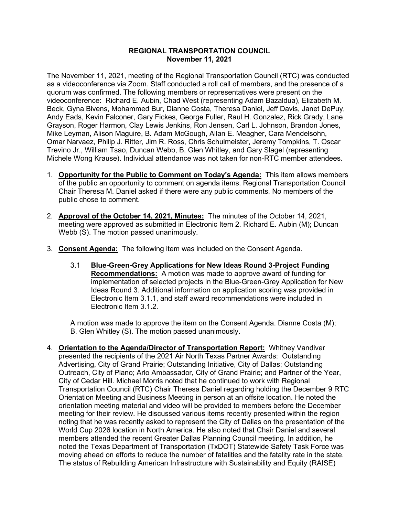## **REGIONAL TRANSPORTATION COUNCIL November 11, 2021**

The November 11, 2021, meeting of the Regional Transportation Council (RTC) was conducted as a videoconference via Zoom. Staff conducted a roll call of members, and the presence of a quorum was confirmed. The following members or representatives were present on the videoconference: Richard E. Aubin, Chad West (representing Adam Bazaldua), Elizabeth M. Beck, Gyna Bivens, Mohammed Bur, Dianne Costa, Theresa Daniel, Jeff Davis, Janet DePuy, Andy Eads, Kevin Falconer, Gary Fickes, George Fuller, Raul H. Gonzalez, Rick Grady, Lane Grayson, Roger Harmon, Clay Lewis Jenkins, Ron Jensen, Carl L. Johnson, Brandon Jones, Mike Leyman, Alison Maguire, B. Adam McGough, Allan E. Meagher, Cara Mendelsohn, Omar Narvaez, Philip J. Ritter, Jim R. Ross, Chris Schulmeister, Jeremy Tompkins, T. Oscar Trevino Jr., William Tsao, Duncan Webb, B. Glen Whitley, and Gary Slagel (representing Michele Wong Krause). Individual attendance was not taken for non-RTC member attendees.

- 1. **Opportunity for the Public to Comment on Today's Agenda:** This item allows members of the public an opportunity to comment on agenda items. Regional Transportation Council Chair Theresa M. Daniel asked if there were any public comments. No members of the public chose to comment.
- 2. **Approval of the October 14, 2021, Minutes:** The minutes of the October 14, 2021, meeting were approved as submitted in Electronic Item 2. Richard E. Aubin (M); Duncan Webb (S). The motion passed unanimously.
- 3. **Consent Agenda:** The following item was included on the Consent Agenda.
	- 3.1 **Blue-Green-Grey Applications for New Ideas Round 3-Project Funding Recommendations:** A motion was made to approve award of funding for implementation of selected projects in the Blue-Green-Grey Application for New Ideas Round 3. Additional information on application scoring was provided in Electronic Item 3.1.1, and staff award recommendations were included in Electronic Item 3.1.2.

A motion was made to approve the item on the Consent Agenda. Dianne Costa (M); B. Glen Whitley (S). The motion passed unanimously.

4. **Orientation to the Agenda/Director of Transportation Report:** Whitney Vandiver presented the recipients of the 2021 Air North Texas Partner Awards: Outstanding Advertising, City of Grand Prairie; Outstanding Initiative, City of Dallas; Outstanding Outreach, City of Plano; Arlo Ambassador, City of Grand Prairie; and Partner of the Year, City of Cedar Hill. Michael Morris noted that he continued to work with Regional Transportation Council (RTC) Chair Theresa Daniel regarding holding the December 9 RTC Orientation Meeting and Business Meeting in person at an offsite location. He noted the orientation meeting material and video will be provided to members before the December meeting for their review. He discussed various items recently presented within the region noting that he was recently asked to represent the City of Dallas on the presentation of the World Cup 2026 location in North America. He also noted that Chair Daniel and several members attended the recent Greater Dallas Planning Council meeting. In addition, he noted the Texas Department of Transportation (TxDOT) Statewide Safety Task Force was moving ahead on efforts to reduce the number of fatalities and the fatality rate in the state. The status of Rebuilding American Infrastructure with Sustainability and Equity (RAISE)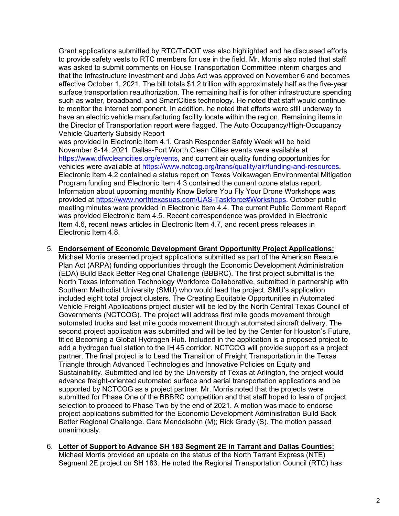Grant applications submitted by RTC/TxDOT was also highlighted and he discussed efforts to provide safety vests to RTC members for use in the field. Mr. Morris also noted that staff was asked to submit comments on House Transportation Committee interim charges and that the Infrastructure Investment and Jobs Act was approved on November 6 and becomes effective October 1, 2021. The bill totals \$1.2 trillion with approximately half as the five-year surface transportation reauthorization. The remaining half is for other infrastructure spending such as water, broadband, and SmartCities technology. He noted that staff would continue to monitor the internet component. In addition, he noted that efforts were still underway to have an electric vehicle manufacturing facility locate within the region. Remaining items in the Director of Transportation report were flagged. The Auto Occupancy/High-Occupancy Vehicle Quarterly Subsidy Report

was provided in Electronic Item 4.1. Crash Responder Safety Week will be held November 8-14, 2021. Dallas-Fort Worth Clean Cities events were available at [https://www.dfwcleancities.org/events,](https://www.dfwcleancities.org/events) and current air quality funding opportunities for vehicles were available at [https://www.nctcog.org/trans/quality/air/funding-and-resources.](https://www.nctcog.org/trans/quality/air/funding-and-resources) Electronic Item 4.2 contained a status report on Texas Volkswagen Environmental Mitigation Program funding and Electronic Item 4.3 contained the current ozone status report. Information about upcoming monthly Know Before You Fly Your Drone Workshops was provided at [https://www.northtexasuas.com/UAS-Taskforce#Workshops.](https://www.northtexasuas.com/UAS-Taskforce#Workshops) October public meeting minutes were provided in Electronic Item 4.4. The current Public Comment Report was provided Electronic Item 4.5. Recent correspondence was provided in Electronic Item 4.6, recent news articles in Electronic Item 4.7, and recent press releases in Electronic Item 4.8.

## 5. **Endorsement of Economic Development Grant Opportunity Project Applications:**

Michael Morris presented project applications submitted as part of the American Rescue Plan Act (ARPA) funding opportunities through the Economic Development Administration (EDA) Build Back Better Regional Challenge (BBBRC). The first project submittal is the North Texas Information Technology Workforce Collaborative, submitted in partnership with Southern Methodist University (SMU) who would lead the project. SMU's application included eight total project clusters. The Creating Equitable Opportunities in Automated Vehicle Freight Applications project cluster will be led by the North Central Texas Council of Governments (NCTCOG). The project will address first mile goods movement through automated trucks and last mile goods movement through automated aircraft delivery. The second project application was submitted and will be led by the Center for Houston's Future, titled Becoming a Global Hydrogen Hub. Included in the application is a proposed project to add a hydrogen fuel station to the IH 45 corridor. NCTCOG will provide support as a project partner. The final project is to Lead the Transition of Freight Transportation in the Texas Triangle through Advanced Technologies and Innovative Policies on Equity and Sustainability. Submitted and led by the University of Texas at Arlington, the project would advance freight-oriented automated surface and aerial transportation applications and be supported by NCTCOG as a project partner. Mr. Morris noted that the projects were submitted for Phase One of the BBBRC competition and that staff hoped to learn of project selection to proceed to Phase Two by the end of 2021. A motion was made to endorse project applications submitted for the Economic Development Administration Build Back Better Regional Challenge. Cara Mendelsohn (M); Rick Grady (S). The motion passed unanimously.

## 6. **Letter of Support to Advance SH 183 Segment 2E in Tarrant and Dallas Counties:** Michael Morris provided an update on the status of the North Tarrant Express (NTE) Segment 2E project on SH 183. He noted the Regional Transportation Council (RTC) has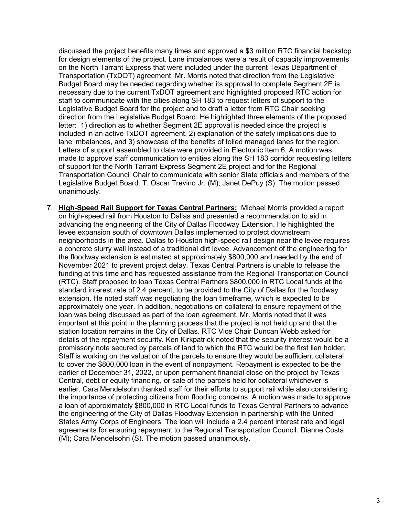discussed the project benefits many times and approved a \$3 million RTC financial backstop for design elements of the project. Lane imbalances were a result of capacity improvements on the North Tarrant Express that were included under the current Texas Department of Transportation (TxDOT) agreement. Mr. Morris noted that direction from the Legislative Budget Board may be needed regarding whether its approval to complete Segment 2E is necessary due to the current TxDOT agreement and highlighted proposed RTC action for staff to communicate with the cities along SH 183 to request letters of support to the Legislative Budget Board for the project and to draft a letter from RTC Chair seeking direction from the Legislative Budget Board. He highlighted three elements of the proposed letter: 1) direction as to whether Segment 2E approval is needed since the project is included in an active TxDOT agreement, 2) explanation of the safety implications due to lane imbalances, and 3) showcase of the benefits of tolled managed lanes for the region. Letters of support assembled to date were provided in Electronic Item 6. A motion was made to approve staff communication to entities along the SH 183 corridor requesting letters of support for the North Tarrant Express Segment 2E project and for the Regional Transportation Council Chair to communicate with senior State officials and members of the Legislative Budget Board. T. Oscar Trevino Jr. (M); Janet DePuy (S). The motion passed unanimously.

7. **High-Speed Rail Support for Texas Central Partners:** Michael Morris provided a report on high-speed rail from Houston to Dallas and presented a recommendation to aid in advancing the engineering of the City of Dallas Floodway Extension. He highlighted the levee expansion south of downtown Dallas implemented to protect downstream neighborhoods in the area. Dallas to Houston high-speed rail design near the levee requires a concrete slurry wall instead of a traditional dirt levee. Advancement of the engineering for the floodway extension is estimated at approximately \$800,000 and needed by the end of November 2021 to prevent project delay. Texas Central Partners is unable to release the funding at this time and has requested assistance from the Regional Transportation Council (RTC). Staff proposed to loan Texas Central Partners \$800,000 in RTC Local funds at the standard interest rate of 2.4 percent, to be provided to the City of Dallas for the floodway extension. He noted staff was negotiating the loan timeframe, which is expected to be approximately one year. In addition, negotiations on collateral to ensure repayment of the loan was being discussed as part of the loan agreement. Mr. Morris noted that it was important at this point in the planning process that the project is not held up and that the station location remains in the City of Dallas. RTC Vice Chair Duncan Webb asked for details of the repayment security. Ken Kirkpatrick noted that the security interest would be a promissory note secured by parcels of land to which the RTC would be the first lien holder. Staff is working on the valuation of the parcels to ensure they would be sufficient collateral to cover the \$800,000 loan in the event of nonpayment. Repayment is expected to be the earlier of December 31, 2022, or upon permanent financial close on the project by Texas Central, debt or equity financing, or sale of the parcels held for collateral whichever is earlier. Cara Mendelsohn thanked staff for their efforts to support rail while also considering the importance of protecting citizens from flooding concerns. A motion was made to approve a loan of approximately \$800,000 in RTC Local funds to Texas Central Partners to advance the engineering of the City of Dallas Floodway Extension in partnership with the United States Army Corps of Engineers. The loan will include a 2.4 percent interest rate and legal agreements for ensuring repayment to the Regional Transportation Council. Dianne Costa (M); Cara Mendelsohn (S). The motion passed unanimously.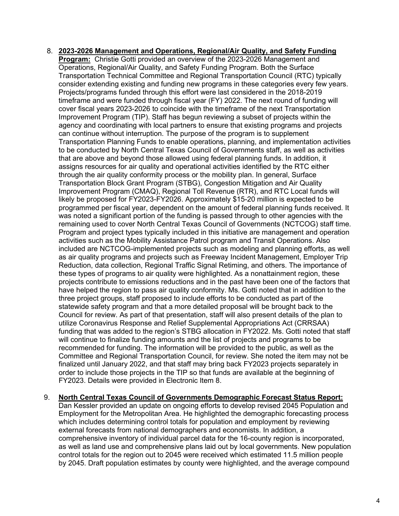- 8. **2023-2026 Management and Operations, Regional/Air Quality, and Safety Funding Program:** Christie Gotti provided an overview of the 2023-2026 Management and Operations, Regional/Air Quality, and Safety Funding Program. Both the Surface Transportation Technical Committee and Regional Transportation Council (RTC) typically consider extending existing and funding new programs in these categories every few years. Projects/programs funded through this effort were last considered in the 2018-2019 timeframe and were funded through fiscal year (FY) 2022. The next round of funding will cover fiscal years 2023-2026 to coincide with the timeframe of the next Transportation Improvement Program (TIP). Staff has begun reviewing a subset of projects within the agency and coordinating with local partners to ensure that existing programs and projects can continue without interruption. The purpose of the program is to supplement Transportation Planning Funds to enable operations, planning, and implementation activities to be conducted by North Central Texas Council of Governments staff, as well as activities that are above and beyond those allowed using federal planning funds. In addition, it assigns resources for air quality and operational activities identified by the RTC either through the air quality conformity process or the mobility plan. In general, Surface Transportation Block Grant Program (STBG), Congestion Mitigation and Air Quality Improvement Program (CMAQ), Regional Toll Revenue (RTR), and RTC Local funds will likely be proposed for FY2023-FY2026. Approximately \$15-20 million is expected to be programmed per fiscal year, dependent on the amount of federal planning funds received. It was noted a significant portion of the funding is passed through to other agencies with the remaining used to cover North Central Texas Council of Governments (NCTCOG) staff time. Program and project types typically included in this initiative are management and operation activities such as the Mobility Assistance Patrol program and Transit Operations. Also included are NCTCOG-implemented projects such as modeling and planning efforts, as well as air quality programs and projects such as Freeway Incident Management, Employer Trip Reduction, data collection, Regional Traffic Signal Retiming, and others. The importance of these types of programs to air quality were highlighted. As a nonattainment region, these projects contribute to emissions reductions and in the past have been one of the factors that have helped the region to pass air quality conformity. Ms. Gotti noted that in addition to the three project groups, staff proposed to include efforts to be conducted as part of the statewide safety program and that a more detailed proposal will be brought back to the Council for review. As part of that presentation, staff will also present details of the plan to utilize Coronavirus Response and Relief Supplemental Appropriations Act (CRRSAA) funding that was added to the region's STBG allocation in FY2022. Ms. Gotti noted that staff will continue to finalize funding amounts and the list of projects and programs to be recommended for funding. The information will be provided to the public, as well as the Committee and Regional Transportation Council, for review. She noted the item may not be finalized until January 2022, and that staff may bring back FY2023 projects separately in order to include those projects in the TIP so that funds are available at the beginning of FY2023. Details were provided in Electronic Item 8.
- 9. **North Central Texas Council of Governments Demographic Forecast Status Report:** Dan Kessler provided an update on ongoing efforts to develop revised 2045 Population and Employment for the Metropolitan Area. He highlighted the demographic forecasting process which includes determining control totals for population and employment by reviewing external forecasts from national demographers and economists. In addition, a comprehensive inventory of individual parcel data for the 16-county region is incorporated, as well as land use and comprehensive plans laid out by local governments. New population control totals for the region out to 2045 were received which estimated 11.5 million people by 2045. Draft population estimates by county were highlighted, and the average compound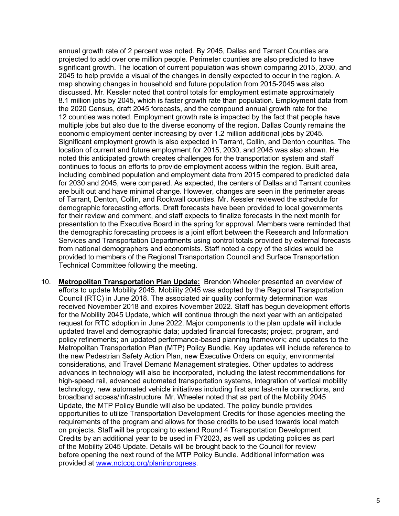annual growth rate of 2 percent was noted. By 2045, Dallas and Tarrant Counties are projected to add over one million people. Perimeter counties are also predicted to have significant growth. The location of current population was shown comparing 2015, 2030, and 2045 to help provide a visual of the changes in density expected to occur in the region. A map showing changes in household and future population from 2015-2045 was also discussed. Mr. Kessler noted that control totals for employment estimate approximately 8.1 million jobs by 2045, which is faster growth rate than population. Employment data from the 2020 Census, draft 2045 forecasts, and the compound annual growth rate for the 12 counties was noted. Employment growth rate is impacted by the fact that people have multiple jobs but also due to the diverse economy of the region. Dallas County remains the economic employment center increasing by over 1.2 million additional jobs by 2045. Significant employment growth is also expected in Tarrant, Collin, and Denton counites. The location of current and future employment for 2015, 2030, and 2045 was also shown. He noted this anticipated growth creates challenges for the transportation system and staff continues to focus on efforts to provide employment access within the region. Built area, including combined population and employment data from 2015 compared to predicted data for 2030 and 2045, were compared. As expected, the centers of Dallas and Tarrant counites are built out and have minimal change. However, changes are seen in the perimeter areas of Tarrant, Denton, Collin, and Rockwall counties. Mr. Kessler reviewed the schedule for demographic forecasting efforts. Draft forecasts have been provided to local governments for their review and comment, and staff expects to finalize forecasts in the next month for presentation to the Executive Board in the spring for approval. Members were reminded that the demographic forecasting process is a joint effort between the Research and Information Services and Transportation Departments using control totals provided by external forecasts from national demographers and economists. Staff noted a copy of the slides would be provided to members of the Regional Transportation Council and Surface Transportation Technical Committee following the meeting.

10. **Metropolitan Transportation Plan Update:** Brendon Wheeler presented an overview of efforts to update Mobility 2045. Mobility 2045 was adopted by the Regional Transportation Council (RTC) in June 2018. The associated air quality conformity determination was received November 2018 and expires November 2022. Staff has begun development efforts for the Mobility 2045 Update, which will continue through the next year with an anticipated request for RTC adoption in June 2022. Major components to the plan update will include updated travel and demographic data; updated financial forecasts; project, program, and policy refinements; an updated performance-based planning framework; and updates to the Metropolitan Transportation Plan (MTP) Policy Bundle. Key updates will include reference to the new Pedestrian Safety Action Plan, new Executive Orders on equity, environmental considerations, and Travel Demand Management strategies. Other updates to address advances in technology will also be incorporated, including the latest recommendations for high-speed rail, advanced automated transportation systems, integration of vertical mobility technology, new automated vehicle initiatives including first and last-mile connections, and broadband access/infrastructure. Mr. Wheeler noted that as part of the Mobility 2045 Update, the MTP Policy Bundle will also be updated. The policy bundle provides opportunities to utilize Transportation Development Credits for those agencies meeting the requirements of the program and allows for those credits to be used towards local match on projects. Staff will be proposing to extend Round 4 Transportation Development Credits by an additional year to be used in FY2023, as well as updating policies as part of the Mobility 2045 Update. Details will be brought back to the Council for review before opening the next round of the MTP Policy Bundle. Additional information was provided at [www.nctcog.org/planinprogress.](http://www.nctcog.org/planinprogress)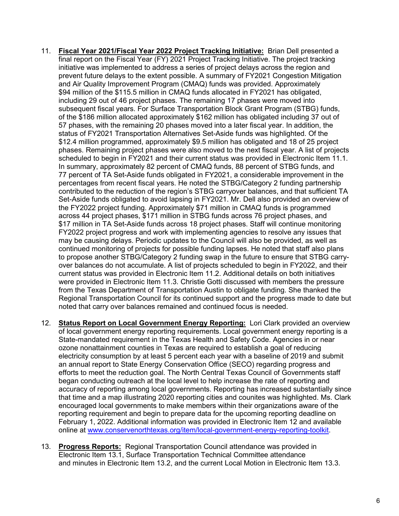- 11. **Fiscal Year 2021/Fiscal Year 2022 Project Tracking Initiative:** Brian Dell presented a final report on the Fiscal Year (FY) 2021 Project Tracking Initiative. The project tracking initiative was implemented to address a series of project delays across the region and prevent future delays to the extent possible. A summary of FY2021 Congestion Mitigation and Air Quality Improvement Program (CMAQ) funds was provided. Approximately \$94 million of the \$115.5 million in CMAQ funds allocated in FY2021 has obligated, including 29 out of 46 project phases. The remaining 17 phases were moved into subsequent fiscal years. For Surface Transportation Block Grant Program (STBG) funds, of the \$186 million allocated approximately \$162 million has obligated including 37 out of 57 phases, with the remaining 20 phases moved into a later fiscal year. In addition, the status of FY2021 Transportation Alternatives Set-Aside funds was highlighted. Of the \$12.4 million programmed, approximately \$9.5 million has obligated and 18 of 25 project phases. Remaining project phases were also moved to the next fiscal year. A list of projects scheduled to begin in FY2021 and their current status was provided in Electronic Item 11.1. In summary, approximately 82 percent of CMAQ funds, 88 percent of STBG funds, and 77 percent of TA Set-Aside funds obligated in FY2021, a considerable improvement in the percentages from recent fiscal years. He noted the STBG/Category 2 funding partnership contributed to the reduction of the region's STBG carryover balances, and that sufficient TA Set-Aside funds obligated to avoid lapsing in FY2021. Mr. Dell also provided an overview of the FY2022 project funding. Approximately \$71 million in CMAQ funds is programmed across 44 project phases, \$171 million in STBG funds across 76 project phases, and \$17 million in TA Set-Aside funds across 18 project phases. Staff will continue monitoring FY2022 project progress and work with implementing agencies to resolve any issues that may be causing delays. Periodic updates to the Council will also be provided, as well as continued monitoring of projects for possible funding lapses. He noted that staff also plans to propose another STBG/Category 2 funding swap in the future to ensure that STBG carryover balances do not accumulate. A list of projects scheduled to begin in FY2022, and their current status was provided in Electronic Item 11.2. Additional details on both initiatives were provided in Electronic Item 11.3. Christie Gotti discussed with members the pressure from the Texas Department of Transportation Austin to obligate funding. She thanked the Regional Transportation Council for its continued support and the progress made to date but noted that carry over balances remained and continued focus is needed.
- 12. **Status Report on Local Government Energy Reporting:** Lori Clark provided an overview of local government energy reporting requirements. Local government energy reporting is a State-mandated requirement in the Texas Health and Safety Code. Agencies in or near ozone nonattainment counties in Texas are required to establish a goal of reducing electricity consumption by at least 5 percent each year with a baseline of 2019 and submit an annual report to State Energy Conservation Office (SECO) regarding progress and efforts to meet the reduction goal. The North Central Texas Council of Governments staff began conducting outreach at the local level to help increase the rate of reporting and accuracy of reporting among local governments. Reporting has increased substantially since that time and a map illustrating 2020 reporting cities and counites was highlighted. Ms. Clark encouraged local governments to make members within their organizations aware of the reporting requirement and begin to prepare data for the upcoming reporting deadline on February 1, 2022. Additional information was provided in Electronic Item 12 and available online at [www.conservenorthtexas.org/item/local-government-energy-reporting-toolkit.](http://www.conservenorthtexas.org/item/local-government-energy-reporting-toolkit)
- 13. **Progress Reports:** Regional Transportation Council attendance was provided in Electronic Item 13.1, Surface Transportation Technical Committee attendance and minutes in Electronic Item 13.2, and the current Local Motion in Electronic Item 13.3.